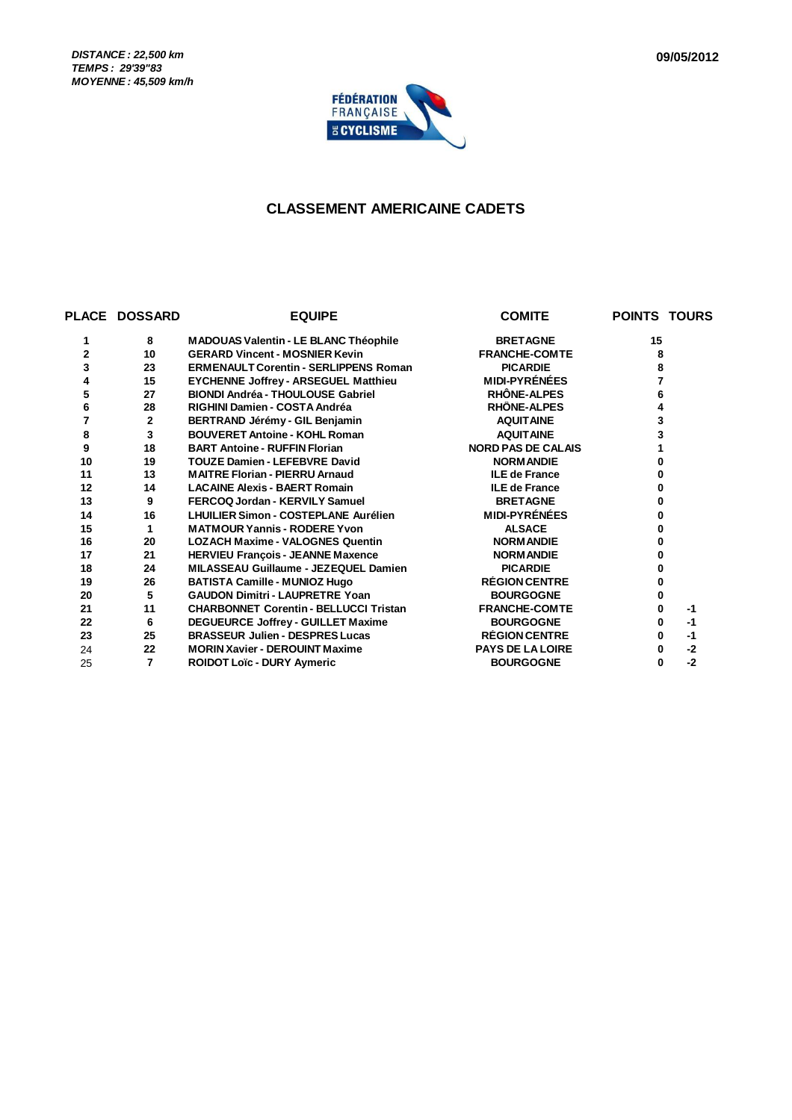*DISTANCE : 22,500 km TEMPS : 29'39"83 MOYENNE : 45,509 km/h*



#### **CLASSEMENT AMERICAINE CADETS**

|    | <b>PLACE DOSSARD</b> | <b>EQUIPE</b>                                 | <b>COMITE</b>             | <b>POINTS TOURS</b> |
|----|----------------------|-----------------------------------------------|---------------------------|---------------------|
| 1  | 8                    | <b>MADOUAS Valentin - LE BLANC Théophile</b>  | <b>BRETAGNE</b>           | 15                  |
| 2  | 10                   | <b>GERARD Vincent - MOSNIER Kevin</b>         | <b>FRANCHE-COMTE</b>      | 8                   |
| 3  | 23                   | <b>ERMENAULT Corentin - SERLIPPENS Roman</b>  | <b>PICARDIE</b>           | 8                   |
| 4  | 15                   | <b>EYCHENNE Joffrey - ARSEGUEL Matthieu</b>   | <b>MIDI-PYRÉNÉES</b>      |                     |
| 5  | 27                   | <b>BIONDI Andréa - THOULOUSE Gabriel</b>      | RHÔNE-ALPES               | 6                   |
| 6  | 28                   | RIGHINI Damien - COSTA Andréa                 | RHÔNE-ALPES               |                     |
| 7  | $\mathbf{2}$         | BERTRAND Jérémy - GIL Benjamin                | <b>AQUITAINE</b>          | 3                   |
| 8  | 3                    | <b>BOUVERET Antoine - KOHL Roman</b>          | <b>AQUITAINE</b>          | 3                   |
| 9  | 18                   | <b>BART Antoine - RUFFIN Florian</b>          | <b>NORD PAS DE CALAIS</b> |                     |
| 10 | 19                   | <b>TOUZE Damien - LEFEBVRE David</b>          | <b>NORMANDIE</b>          | 0                   |
| 11 | 13                   | <b>MAITRE Florian - PIERRU Arnaud</b>         | <b>ILE de France</b>      |                     |
| 12 | 14                   | <b>LACAINE Alexis - BAERT Romain</b>          | <b>ILE de France</b>      | 0                   |
| 13 | 9                    | FERCOQ Jordan - KERVILY Samuel                | <b>BRETAGNE</b>           | 0                   |
| 14 | 16                   | <b>LHUILIER Simon - COSTEPLANE Aurélien</b>   | <b>MIDI-PYRÉNÉES</b>      |                     |
| 15 | 1                    | <b>MATMOUR Yannis - RODERE Yvon</b>           | <b>ALSACE</b>             |                     |
| 16 | 20                   | <b>LOZACH Maxime - VALOGNES Quentin</b>       | <b>NORMANDIE</b>          |                     |
| 17 | 21                   | <b>HERVIEU François - JEANNE Maxence</b>      | <b>NORMANDIE</b>          | o                   |
| 18 | 24                   | MILASSEAU Guillaume - JEZEQUEL Damien         | <b>PICARDIE</b>           |                     |
| 19 | 26                   | <b>BATISTA Camille - MUNIOZ Hugo</b>          | <b>RÉGION CENTRE</b>      | 0                   |
| 20 | 5                    | <b>GAUDON Dimitri - LAUPRETRE Yoan</b>        | <b>BOURGOGNE</b>          | 0                   |
| 21 | 11                   | <b>CHARBONNET Corentin - BELLUCCI Tristan</b> | <b>FRANCHE-COMTE</b>      | 0<br>$-1$           |
| 22 | 6                    | <b>DEGUEURCE Joffrey - GUILLET Maxime</b>     | <b>BOURGOGNE</b>          | $-1$<br>0           |
| 23 | 25                   | <b>BRASSEUR Julien - DESPRES Lucas</b>        | <b>RÉGION CENTRE</b>      | $-1$<br>0           |
| 24 | 22                   | <b>MORIN Xavier - DEROUINT Maxime</b>         | <b>PAYS DE LA LOIRE</b>   | $-2$<br>0           |
| 25 | 7                    | <b>ROIDOT Loïc - DURY Aymeric</b>             | <b>BOURGOGNE</b>          | $-2$<br>0           |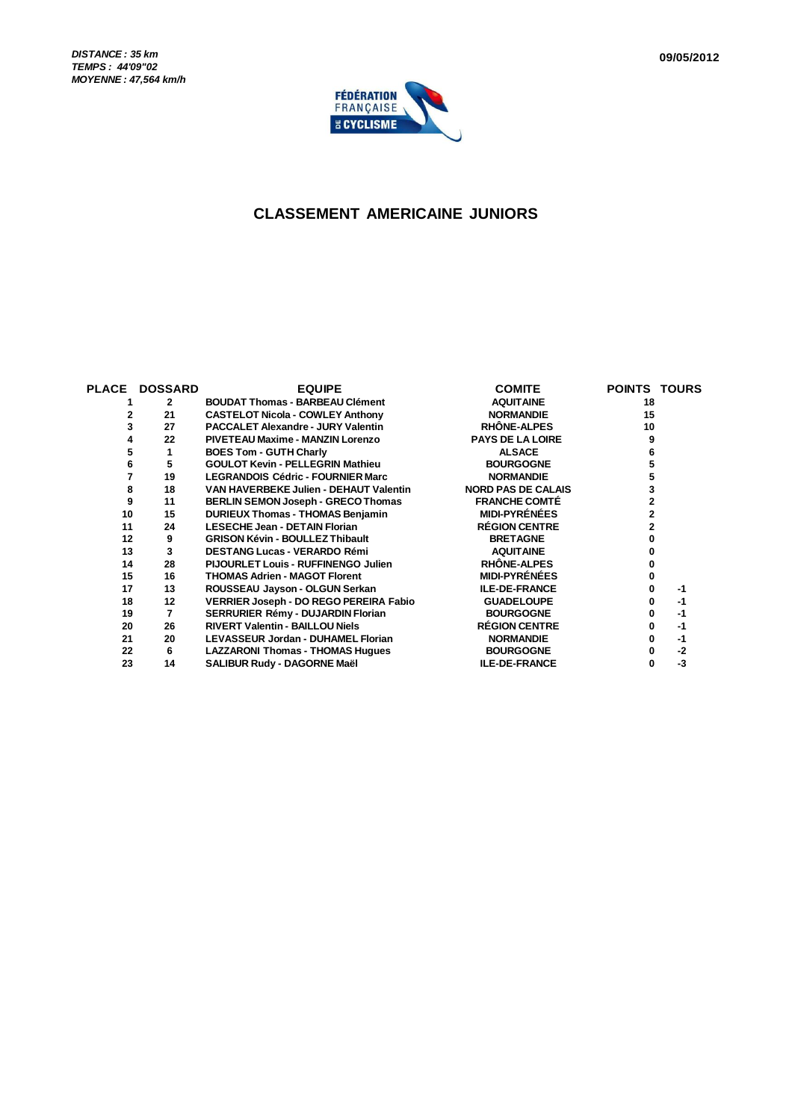

#### **CLASSEMENT AMERICAINE JUNIORS**

| <b>PLACE</b> | <b>DOSSARD</b> | <b>EQUIPE</b>                              | <b>COMITE</b>             | <b>POINTS TOURS</b> |
|--------------|----------------|--------------------------------------------|---------------------------|---------------------|
|              | $\mathbf{2}$   | <b>BOUDAT Thomas - BARBEAU Clément</b>     | <b>AQUITAINE</b>          | 18                  |
|              | 21             | <b>CASTELOT Nicola - COWLEY Anthony</b>    | <b>NORMANDIE</b>          | 15                  |
|              | 27             | <b>PACCALET Alexandre - JURY Valentin</b>  | <b>RHÖNE-ALPES</b>        | 10                  |
|              | 22             | PIVETEAU Maxime - MANZIN Lorenzo           | <b>PAYS DE LA LOIRE</b>   |                     |
| 5            |                | <b>BOES Tom - GUTH Charly</b>              | <b>ALSACE</b>             |                     |
|              | 5              | <b>GOULOT Kevin - PELLEGRIN Mathieu</b>    | <b>BOURGOGNE</b>          |                     |
|              | 19             | <b>LEGRANDOIS Cédric - FOURNIER Marc</b>   | <b>NORMANDIE</b>          |                     |
|              | 18             | VAN HAVERBEKE Julien - DEHAUT Valentin     | <b>NORD PAS DE CALAIS</b> |                     |
| 9            | 11             | BERLIN SEMON Joseph - GRECO Thomas         | <b>FRANCHE COMTÉ</b>      |                     |
| 10           | 15             | <b>DURIEUX Thomas - THOMAS Benjamin</b>    | <b>MIDI-PYRÉNÉES</b>      |                     |
| 11           | 24             | <b>LESECHE Jean - DETAIN Florian</b>       | <b>RÉGION CENTRE</b>      |                     |
| 12           | 9              | <b>GRISON Kévin - BOULLEZ Thibault</b>     | <b>BRETAGNE</b>           |                     |
| 13           | 3              | <b>DESTANG Lucas - VERARDO Rémi</b>        | <b>AQUITAINE</b>          |                     |
| 14           | 28             | <b>PIJOURLET Louis - RUFFINENGO Julien</b> | <b>RHÖNE-ALPES</b>        |                     |
| 15           | 16             | <b>THOMAS Adrien - MAGOT Florent</b>       | <b>MIDI-PYRÉNÉES</b>      |                     |
| 17           | 13             | ROUSSEAU Jayson - OLGUN Serkan             | <b>ILE-DE-FRANCE</b>      | -1                  |
| 18           | 12             | VERRIER Joseph - DO REGO PEREIRA Fabio     | <b>GUADELOUPE</b>         | $-1$                |
| 19           | 7              | SERRURIER Rémy - DUJARDIN Florian          | <b>BOURGOGNE</b>          | -1                  |
| 20           | 26             | <b>RIVERT Valentin - BAILLOU Niels</b>     | <b>RÉGION CENTRE</b>      | -1                  |
| 21           | 20             | LEVASSEUR Jordan - DUHAMEL Florian         | <b>NORMANDIE</b>          | $-1$                |
| 22           | 6              | <b>LAZZARONI Thomas - THOMAS Hugues</b>    | <b>BOURGOGNE</b>          | $-2$                |
| 23           | 14             | SALIBUR Rudy - DAGORNE Maël                | <b>ILE-DE-FRANCE</b>      | -3<br>0             |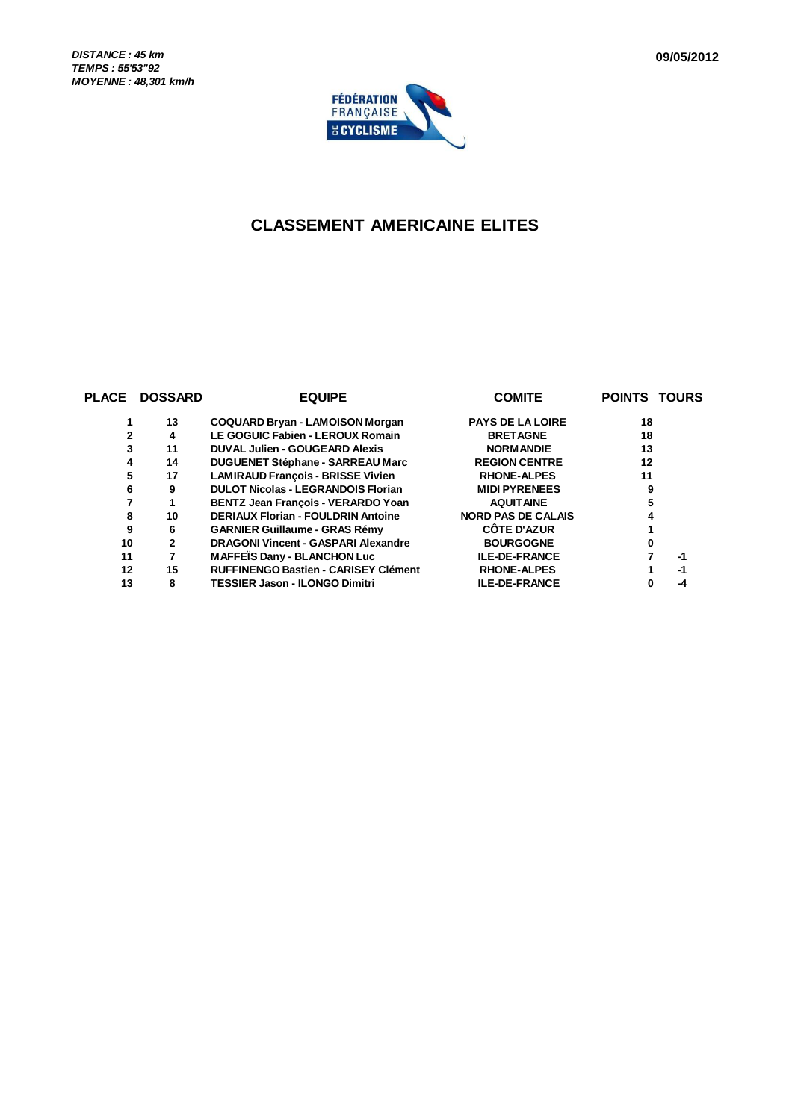

## **CLASSEMENT AMERICAINE ELITES**

| <b>PLACE</b> | <b>DOSSARD</b> | <b>EQUIPE</b>                               | <b>COMITE</b>             | <b>POINTS TOURS</b> |  |
|--------------|----------------|---------------------------------------------|---------------------------|---------------------|--|
|              | 13             | <b>COQUARD Bryan - LAMOISON Morgan</b>      | <b>PAYS DE LA LOIRE</b>   | 18                  |  |
|              | 4              | LE GOGUIC Fabien - LEROUX Romain            | <b>BRETAGNE</b>           | 18                  |  |
|              | 11             | <b>DUVAL Julien - GOUGEARD Alexis</b>       | <b>NORM ANDIE</b>         | 13                  |  |
| 4            | 14             | <b>DUGUENET Stéphane - SARREAU Marc</b>     | <b>REGION CENTRE</b>      | 12                  |  |
| 5            | 17             | <b>LAMIRAUD Francois - BRISSE Vivien</b>    | <b>RHONE-ALPES</b>        | 11                  |  |
| 6            | 9              | <b>DULOT Nicolas - LEGRANDOIS Florian</b>   | <b>MIDI PYRENEES</b>      | 9                   |  |
|              | 1              | <b>BENTZ Jean Francois - VERARDO Yoan</b>   | <b>AQUITAINE</b>          |                     |  |
| 8            | 10             | <b>DERIAUX Florian - FOULDRIN Antoine</b>   | <b>NORD PAS DE CALAIS</b> |                     |  |
| 9            | 6              | <b>GARNIER Guillaume - GRAS Rémy</b>        | <b>CÔTE D'AZUR</b>        |                     |  |
| 10           | $\mathbf{2}$   | <b>DRAGONI Vincent - GASPARI Alexandre</b>  | <b>BOURGOGNE</b>          |                     |  |
| 11           | 7              | <b>MAFFEIS Dany - BLANCHON Luc</b>          | <b>ILE-DE-FRANCE</b>      | -1                  |  |
| 12           | 15             | <b>RUFFINENGO Bastien - CARISEY Clément</b> | <b>RHONE-ALPES</b>        | -1                  |  |
| 13           | 8              | <b>TESSIER Jason - ILONGO Dimitri</b>       | <b>ILE-DE-FRANCE</b>      | -4                  |  |
|              |                |                                             |                           |                     |  |